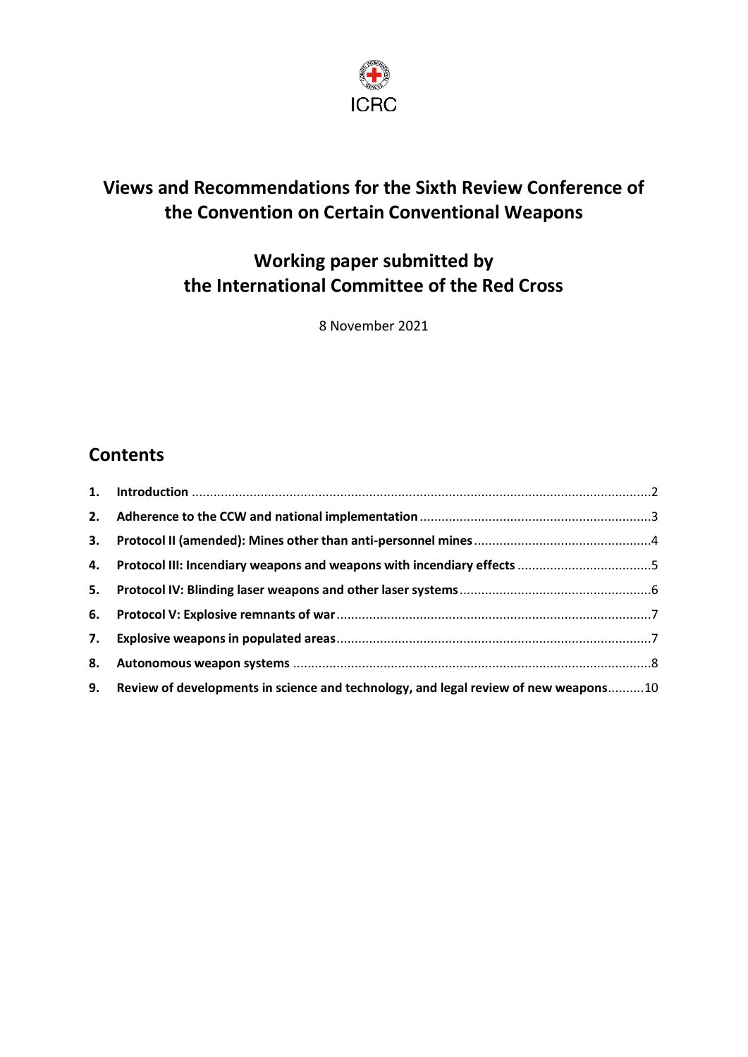

# **Views and Recommendations for the Sixth Review Conference of the Convention on Certain Conventional Weapons**

# **Working paper submitted by the International Committee of the Red Cross**

8 November 2021

# **Contents**

| 3. |                                                                                        |  |
|----|----------------------------------------------------------------------------------------|--|
|    |                                                                                        |  |
|    |                                                                                        |  |
|    |                                                                                        |  |
| 7. |                                                                                        |  |
| 8. |                                                                                        |  |
|    | 9. Review of developments in science and technology, and legal review of new weapons10 |  |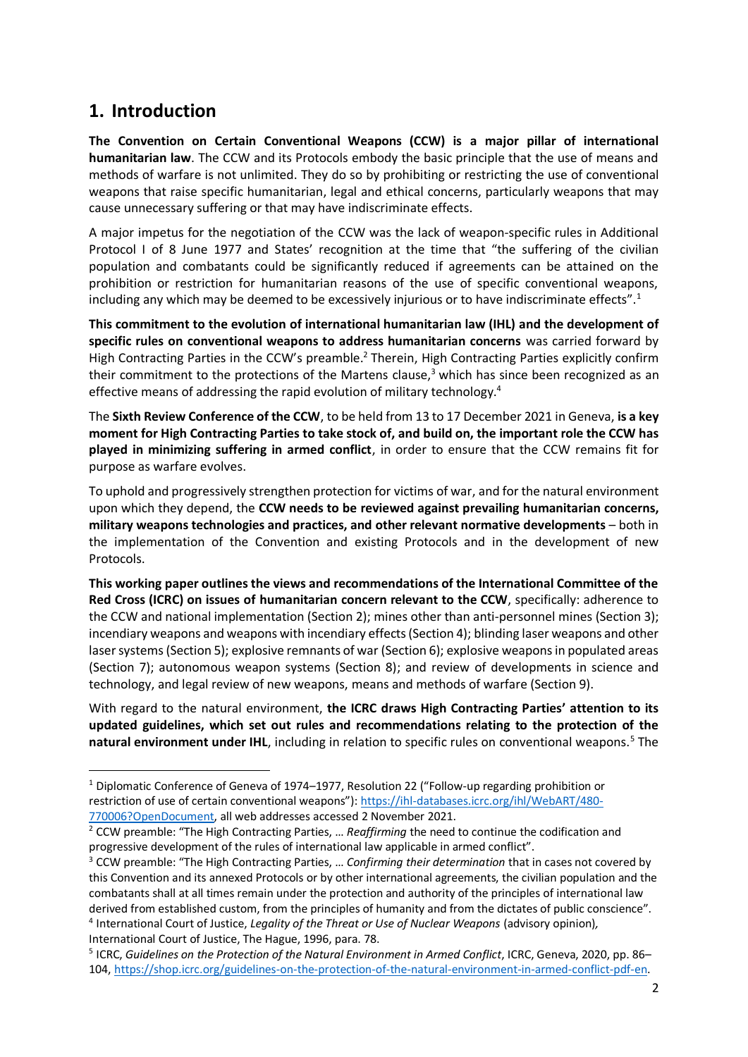#### <span id="page-1-0"></span>**1. Introduction**

**The Convention on Certain Conventional Weapons (CCW) is a major pillar of international humanitarian law**. The CCW and its Protocols embody the basic principle that the use of means and methods of warfare is not unlimited. They do so by prohibiting or restricting the use of conventional weapons that raise specific humanitarian, legal and ethical concerns, particularly weapons that may cause unnecessary suffering or that may have indiscriminate effects.

A major impetus for the negotiation of the CCW was the lack of weapon-specific rules in Additional Protocol I of 8 June 1977 and States' recognition at the time that "the suffering of the civilian population and combatants could be significantly reduced if agreements can be attained on the prohibition or restriction for humanitarian reasons of the use of specific conventional weapons, including any which may be deemed to be excessively injurious or to have indiscriminate effects".<sup>1</sup>

**This commitment to the evolution of international humanitarian law (IHL) and the development of specific rules on conventional weapons to address humanitarian concerns** was carried forward by High Contracting Parties in the CCW's preamble.<sup>2</sup> Therein, High Contracting Parties explicitly confirm their commitment to the protections of the Martens clause, $3$  which has since been recognized as an effective means of addressing the rapid evolution of military technology.<sup>4</sup>

The **Sixth Review Conference of the CCW**, to be held from 13 to 17 December 2021 in Geneva, **is a key moment for High Contracting Parties to take stock of, and build on, the important role the CCW has played in minimizing suffering in armed conflict**, in order to ensure that the CCW remains fit for purpose as warfare evolves.

To uphold and progressively strengthen protection for victims of war, and for the natural environment upon which they depend, the **CCW needs to be reviewed against prevailing humanitarian concerns, military weapons technologies and practices, and other relevant normative developments** – both in the implementation of the Convention and existing Protocols and in the development of new Protocols.

**This working paper outlines the views and recommendations of the International Committee of the Red Cross (ICRC) on issues of humanitarian concern relevant to the CCW**, specifically: adherence to the CCW and national implementation (Section 2); mines other than anti-personnel mines (Section 3); incendiary weapons and weapons with incendiary effects (Section 4); blinding laser weapons and other laser systems (Section 5); explosive remnants of war (Section 6); explosive weapons in populated areas (Section 7); autonomous weapon systems (Section 8); and review of developments in science and technology, and legal review of new weapons, means and methods of warfare (Section 9).

With regard to the natural environment, **the ICRC draws High Contracting Parties' attention to its updated guidelines, which set out rules and recommendations relating to the protection of the**  natural environment under IHL, including in relation to specific rules on conventional weapons.<sup>5</sup> The

<sup>1</sup> Diplomatic Conference of Geneva of 1974–1977, Resolution 22 ("Follow-up regarding prohibition or restriction of use of certain conventional weapons"): [https://ihl-databases.icrc.org/ihl/WebART/480-](https://ihl-databases.icrc.org/ihl/WebART/480-770006?OpenDocument) [770006?OpenDocument,](https://ihl-databases.icrc.org/ihl/WebART/480-770006?OpenDocument) all web addresses accessed 2 November 2021.

<sup>2</sup> CCW preamble: "The High Contracting Parties, … *Reaffirming* the need to continue the codification and progressive development of the rules of international law applicable in armed conflict".

<sup>3</sup> CCW preamble: "The High Contracting Parties, … *Confirming their determination* that in cases not covered by this Convention and its annexed Protocols or by other international agreements, the civilian population and the combatants shall at all times remain under the protection and authority of the principles of international law derived from established custom, from the principles of humanity and from the dictates of public conscience". 4 International Court of Justice, *Legality of the Threat or Use of Nuclear Weapons* (advisory opinion)*,*  International Court of Justice, The Hague, 1996, para. 78.

<sup>5</sup> ICRC, *Guidelines on the Protection of the Natural Environment in Armed Conflict*, ICRC, Geneva, 2020, pp. 86– 104, [https://shop.icrc.org/guidelines-on-the-protection-of-the-natural-environment-in-armed-conflict-pdf-en.](https://shop.icrc.org/guidelines-on-the-protection-of-the-natural-environment-in-armed-conflict-pdf-en)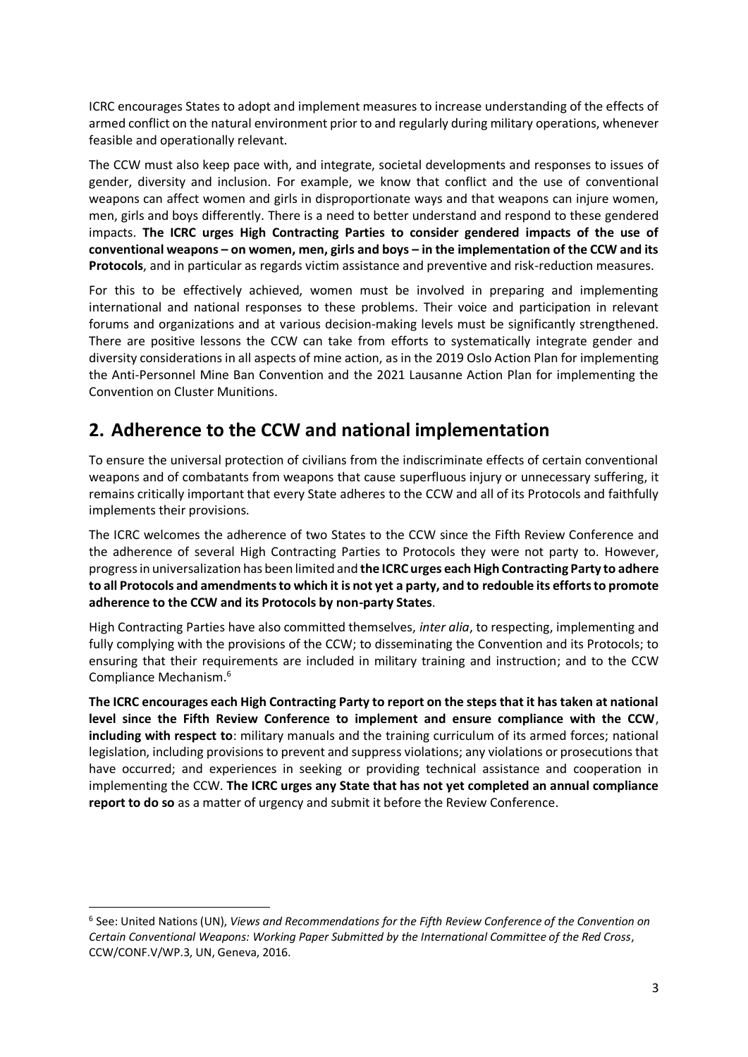ICRC encourages States to adopt and implement measures to increase understanding of the effects of armed conflict on the natural environment prior to and regularly during military operations, whenever feasible and operationally relevant.

The CCW must also keep pace with, and integrate, societal developments and responses to issues of gender, diversity and inclusion. For example, we know that conflict and the use of conventional weapons can affect women and girls in disproportionate ways and that weapons can injure women, men, girls and boys differently. There is a need to better understand and respond to these gendered impacts. **The ICRC urges High Contracting Parties to consider gendered impacts of the use of conventional weapons – on women, men, girls and boys – in the implementation of the CCW and its Protocols**, and in particular as regards victim assistance and preventive and risk-reduction measures.

For this to be effectively achieved, women must be involved in preparing and implementing international and national responses to these problems. Their voice and participation in relevant forums and organizations and at various decision-making levels must be significantly strengthened. There are positive lessons the CCW can take from efforts to systematically integrate gender and diversity considerations in all aspects of mine action, as in the 2019 Oslo Action Plan for implementing the Anti-Personnel Mine Ban Convention and the 2021 Lausanne Action Plan for implementing the Convention on Cluster Munitions.

#### <span id="page-2-0"></span>**2. Adherence to the CCW and national implementation**

To ensure the universal protection of civilians from the indiscriminate effects of certain conventional weapons and of combatants from weapons that cause superfluous injury or unnecessary suffering, it remains critically important that every State adheres to the CCW and all of its Protocols and faithfully implements their provisions.

The ICRC welcomes the adherence of two States to the CCW since the Fifth Review Conference and the adherence of several High Contracting Parties to Protocols they were not party to. However, progress in universalization has been limited and **the ICRC urges each High Contracting Party to adhere to all Protocols and amendments to which it is not yet a party, and to redouble its efforts to promote adherence to the CCW and its Protocols by non-party States**.

High Contracting Parties have also committed themselves, *inter alia*, to respecting, implementing and fully complying with the provisions of the CCW; to disseminating the Convention and its Protocols; to ensuring that their requirements are included in military training and instruction; and to the CCW Compliance Mechanism. 6

**The ICRC encourages each High Contracting Party to report on the steps that it has taken at national level since the Fifth Review Conference to implement and ensure compliance with the CCW**, **including with respect to**: military manuals and the training curriculum of its armed forces; national legislation, including provisions to prevent and suppress violations; any violations or prosecutions that have occurred; and experiences in seeking or providing technical assistance and cooperation in implementing the CCW. **The ICRC urges any State that has not yet completed an annual compliance report to do so** as a matter of urgency and submit it before the Review Conference.

<sup>&</sup>lt;sup>6</sup> See: United Nations (UN), *Views and Recommendations for the Fifth Review Conference of the Convention on Certain Conventional Weapons: Working Paper Submitted by the International Committee of the Red Cross*, CCW/CONF.V/WP.3, UN, Geneva, 2016.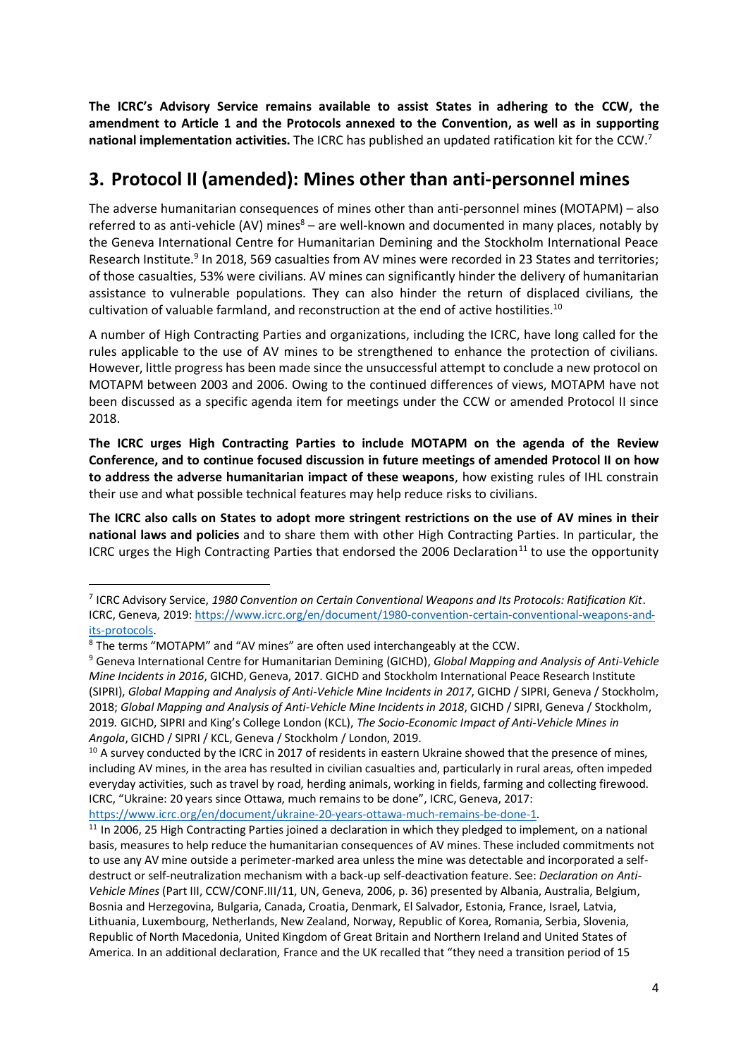**The ICRC's Advisory Service remains available to assist States in adhering to the CCW, the amendment to Article 1 and the Protocols annexed to the Convention, as well as in supporting national implementation activities.** The ICRC has published an updated ratification kit for the CCW. 7

## <span id="page-3-0"></span>**3. Protocol II (amended): Mines other than anti-personnel mines**

The adverse humanitarian consequences of mines other than anti-personnel mines (MOTAPM) – also referred to as anti-vehicle (AV) mines $8 -$  are well-known and documented in many places, notably by the Geneva International Centre for Humanitarian Demining and the Stockholm International Peace Research Institute.<sup>9</sup> In 2018, 569 casualties from AV mines were recorded in 23 States and territories; of those casualties, 53% were civilians. AV mines can significantly hinder the delivery of humanitarian assistance to vulnerable populations. They can also hinder the return of displaced civilians, the cultivation of valuable farmland, and reconstruction at the end of active hostilities.<sup>10</sup>

A number of High Contracting Parties and organizations, including the ICRC, have long called for the rules applicable to the use of AV mines to be strengthened to enhance the protection of civilians. However, little progress has been made since the unsuccessful attempt to conclude a new protocol on MOTAPM between 2003 and 2006. Owing to the continued differences of views, MOTAPM have not been discussed as a specific agenda item for meetings under the CCW or amended Protocol II since 2018.

**The ICRC urges High Contracting Parties to include MOTAPM on the agenda of the Review Conference, and to continue focused discussion in future meetings of amended Protocol II on how to address the adverse humanitarian impact of these weapons**, how existing rules of IHL constrain their use and what possible technical features may help reduce risks to civilians.

**The ICRC also calls on States to adopt more stringent restrictions on the use of AV mines in their national laws and policies** and to share them with other High Contracting Parties. In particular, the ICRC urges the High Contracting Parties that endorsed the 2006 Declaration<sup>11</sup> to use the opportunity

<sup>7</sup> ICRC Advisory Service, *1980 Convention on Certain Conventional Weapons and Its Protocols: Ratification Kit*. ICRC, Geneva, 2019: [https://www.icrc.org/en/document/1980-convention-certain-conventional-weapons-and](https://www.icrc.org/en/document/1980-convention-certain-conventional-weapons-and-its-protocols)[its-protocols.](https://www.icrc.org/en/document/1980-convention-certain-conventional-weapons-and-its-protocols)

<sup>8</sup> The terms "MOTAPM" and "AV mines" are often used interchangeably at the CCW.

<sup>9</sup> Geneva International Centre for Humanitarian Demining (GICHD), *Global Mapping and Analysis of Anti-Vehicle Mine Incidents in 2016*, GICHD, Geneva, 2017. GICHD and Stockholm International Peace Research Institute (SIPRI), *Global Mapping and Analysis of Anti-Vehicle Mine Incidents in 2017*, GICHD / SIPRI, Geneva / Stockholm, 2018; *Global Mapping and Analysis of Anti-Vehicle Mine Incidents in 2018*, GICHD / SIPRI, Geneva / Stockholm, 2019*.* GICHD, SIPRI and King's College London (KCL), *The Socio-Economic Impact of Anti-Vehicle Mines in Angola*, GICHD / SIPRI / KCL, Geneva / Stockholm / London, 2019.

 $10$  A survey conducted by the ICRC in 2017 of residents in eastern Ukraine showed that the presence of mines, including AV mines, in the area has resulted in civilian casualties and, particularly in rural areas, often impeded everyday activities, such as travel by road, herding animals, working in fields, farming and collecting firewood. ICRC, "Ukraine: 20 years since Ottawa, much remains to be done", ICRC, Geneva, 2017:

[https://www.icrc.org/en/document/ukraine-20-years-ottawa-much-remains-be-done-1.](https://www.icrc.org/en/document/ukraine-20-years-ottawa-much-remains-be-done-1)

<sup>&</sup>lt;sup>11</sup> In 2006, 25 High Contracting Parties joined a declaration in which they pledged to implement, on a national basis, measures to help reduce the humanitarian consequences of AV mines. These included commitments not to use any AV mine outside a perimeter-marked area unless the mine was detectable and incorporated a selfdestruct or self-neutralization mechanism with a back-up self-deactivation feature. See: *Declaration on Anti-Vehicle Mines* (Part III, CCW/CONF.III/11, UN, Geneva, 2006, p. 36) presented by Albania, Australia, Belgium, Bosnia and Herzegovina, Bulgaria, Canada, Croatia, Denmark, El Salvador, Estonia, France, Israel, Latvia, Lithuania, Luxembourg, Netherlands, New Zealand, Norway, Republic of Korea, Romania, Serbia, Slovenia, Republic of North Macedonia, United Kingdom of Great Britain and Northern Ireland and United States of America. In an additional declaration, France and the UK recalled that "they need a transition period of 15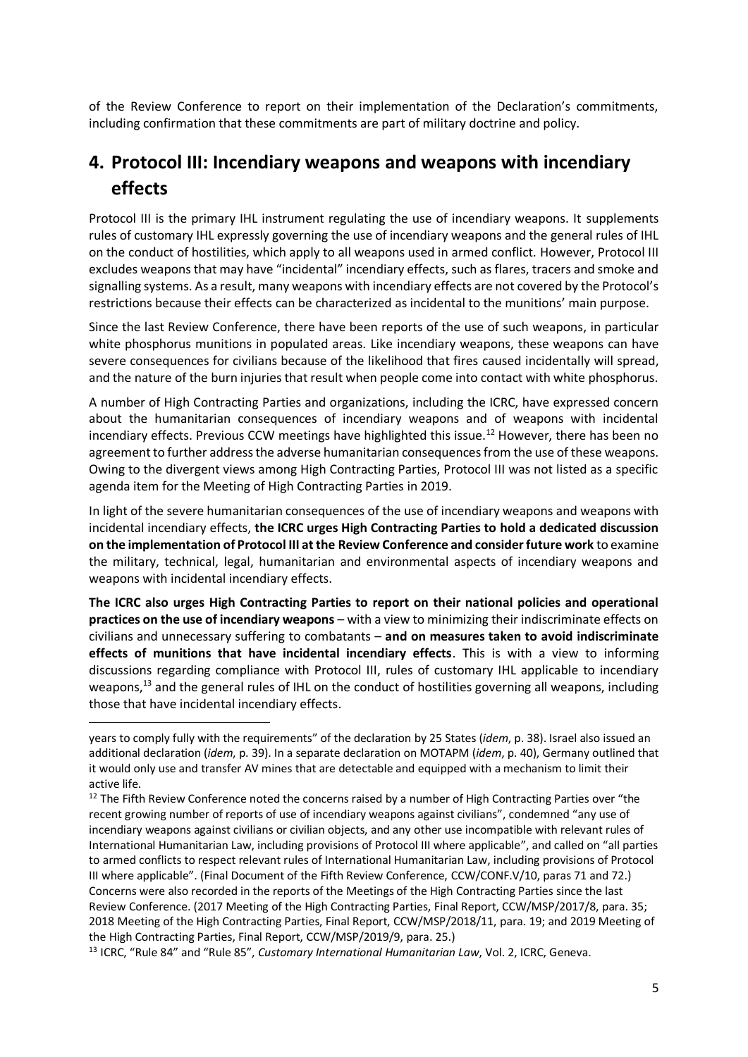of the Review Conference to report on their implementation of the Declaration's commitments, including confirmation that these commitments are part of military doctrine and policy.

# <span id="page-4-0"></span>**4. Protocol III: Incendiary weapons and weapons with incendiary effects**

Protocol III is the primary IHL instrument regulating the use of incendiary weapons. It supplements rules of customary IHL expressly governing the use of incendiary weapons and the general rules of IHL on the conduct of hostilities, which apply to all weapons used in armed conflict. However, Protocol III excludes weapons that may have "incidental" incendiary effects, such as flares, tracers and smoke and signalling systems. As a result, many weapons with incendiary effects are not covered by the Protocol's restrictions because their effects can be characterized as incidental to the munitions' main purpose.

Since the last Review Conference, there have been reports of the use of such weapons, in particular white phosphorus munitions in populated areas. Like incendiary weapons, these weapons can have severe consequences for civilians because of the likelihood that fires caused incidentally will spread, and the nature of the burn injuries that result when people come into contact with white phosphorus.

A number of High Contracting Parties and organizations, including the ICRC, have expressed concern about the humanitarian consequences of incendiary weapons and of weapons with incidental incendiary effects. Previous CCW meetings have highlighted this issue.<sup>12</sup> However, there has been no agreement to further address the adverse humanitarian consequences from the use of these weapons. Owing to the divergent views among High Contracting Parties, Protocol III was not listed as a specific agenda item for the Meeting of High Contracting Parties in 2019.

In light of the severe humanitarian consequences of the use of incendiary weapons and weapons with incidental incendiary effects, **the ICRC urges High Contracting Parties to hold a dedicated discussion on the implementation of Protocol III at the Review Conference and consider future work** to examine the military, technical, legal, humanitarian and environmental aspects of incendiary weapons and weapons with incidental incendiary effects.

**The ICRC also urges High Contracting Parties to report on their national policies and operational practices on the use of incendiary weapons** – with a view to minimizing their indiscriminate effects on civilians and unnecessary suffering to combatants – **and on measures taken to avoid indiscriminate effects of munitions that have incidental incendiary effects**. This is with a view to informing discussions regarding compliance with Protocol III, rules of customary IHL applicable to incendiary weapons,<sup>13</sup> and the general rules of IHL on the conduct of hostilities governing all weapons, including those that have incidental incendiary effects.

years to comply fully with the requirements" of the declaration by 25 States (*idem*, p. 38). Israel also issued an additional declaration (*idem*, p. 39). In a separate declaration on MOTAPM (*idem*, p. 40), Germany outlined that it would only use and transfer AV mines that are detectable and equipped with a mechanism to limit their active life.

 $12$  The Fifth Review Conference noted the concerns raised by a number of High Contracting Parties over "the recent growing number of reports of use of incendiary weapons against civilians", condemned "any use of incendiary weapons against civilians or civilian objects, and any other use incompatible with relevant rules of International Humanitarian Law, including provisions of Protocol III where applicable", and called on "all parties to armed conflicts to respect relevant rules of International Humanitarian Law, including provisions of Protocol III where applicable". (Final Document of the Fifth Review Conference, CCW/CONF.V/10, paras 71 and 72.) Concerns were also recorded in the reports of the Meetings of the High Contracting Parties since the last Review Conference. (2017 Meeting of the High Contracting Parties, Final Report, CCW/MSP/2017/8, para. 35; 2018 Meeting of the High Contracting Parties, Final Report, CCW/MSP/2018/11, para. 19; and 2019 Meeting of the High Contracting Parties, Final Report, CCW/MSP/2019/9, para. 25.)

<sup>13</sup> ICRC, "Rule 84" and "Rule 85", *Customary International Humanitarian Law*, Vol. 2, ICRC, Geneva.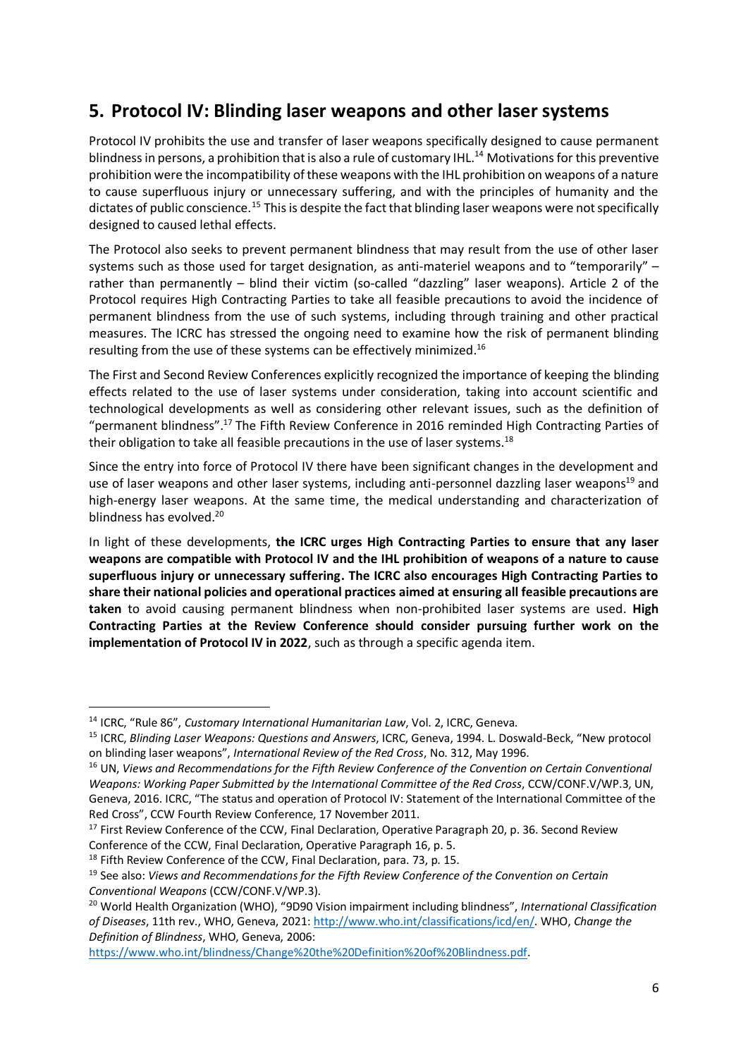## <span id="page-5-0"></span>**5. Protocol IV: Blinding laser weapons and other laser systems**

Protocol IV prohibits the use and transfer of laser weapons specifically designed to cause permanent blindness in persons, a prohibition that is also a rule of customary IHL.<sup>14</sup> Motivations for this preventive prohibition were the incompatibility of these weapons with the IHL prohibition on weapons of a nature to cause superfluous injury or unnecessary suffering, and with the principles of humanity and the dictates of public conscience.<sup>15</sup> This is despite the fact that blinding laser weapons were not specifically designed to caused lethal effects.

The Protocol also seeks to prevent permanent blindness that may result from the use of other laser systems such as those used for target designation, as anti-materiel weapons and to "temporarily" – rather than permanently – blind their victim (so-called "dazzling" laser weapons). Article 2 of the Protocol requires High Contracting Parties to take all feasible precautions to avoid the incidence of permanent blindness from the use of such systems, including through training and other practical measures. The ICRC has stressed the ongoing need to examine how the risk of permanent blinding resulting from the use of these systems can be effectively minimized.<sup>16</sup>

The First and Second Review Conferences explicitly recognized the importance of keeping the blinding effects related to the use of laser systems under consideration, taking into account scientific and technological developments as well as considering other relevant issues, such as the definition of "permanent blindness". <sup>17</sup> The Fifth Review Conference in 2016 reminded High Contracting Parties of their obligation to take all feasible precautions in the use of laser systems.<sup>18</sup>

Since the entry into force of Protocol IV there have been significant changes in the development and use of laser weapons and other laser systems, including anti-personnel dazzling laser weapons<sup>19</sup> and high-energy laser weapons. At the same time, the medical understanding and characterization of blindness has evolved. 20

In light of these developments, **the ICRC urges High Contracting Parties to ensure that any laser weapons are compatible with Protocol IV and the IHL prohibition of weapons of a nature to cause superfluous injury or unnecessary suffering. The ICRC also encourages High Contracting Parties to share their national policies and operational practices aimed at ensuring all feasible precautions are taken** to avoid causing permanent blindness when non-prohibited laser systems are used. **High Contracting Parties at the Review Conference should consider pursuing further work on the implementation of Protocol IV in 2022**, such as through a specific agenda item.

[https://www.who.int/blindness/Change%20the%20Definition%20of%20Blindness.pdf.](https://www.who.int/blindness/Change%20the%20Definition%20of%20Blindness.pdf)

<sup>14</sup> ICRC, "Rule 86", *Customary International Humanitarian Law*, Vol. 2, ICRC, Geneva.

<sup>15</sup> ICRC, *Blinding Laser Weapons: Questions and Answers*, ICRC, Geneva, 1994. L. Doswald-Beck, "New protocol on blinding laser weapons", *International Review of the Red Cross*, No. 312, May 1996.

<sup>&</sup>lt;sup>16</sup> UN, Views and Recommendations for the Fifth Review Conference of the Convention on Certain Conventional *Weapons: Working Paper Submitted by the International Committee of the Red Cross*, CCW/CONF.V/WP.3, UN, Geneva, 2016. ICRC, "The status and operation of Protocol IV: Statement of the International Committee of the Red Cross", CCW Fourth Review Conference, 17 November 2011.

<sup>&</sup>lt;sup>17</sup> First Review Conference of the CCW, Final Declaration, Operative Paragraph 20, p. 36. Second Review Conference of the CCW, Final Declaration, Operative Paragraph 16, p. 5.

<sup>&</sup>lt;sup>18</sup> Fifth Review Conference of the CCW, Final Declaration, para. 73, p. 15.

<sup>19</sup> See also: *Views and Recommendations for the Fifth Review Conference of the Convention on Certain Conventional Weapons* (CCW/CONF.V/WP.3).

<sup>20</sup> World Health Organization (WHO), "9D90 Vision impairment including blindness", *International Classification of Diseases*, 11th rev., WHO, Geneva, 2021[: http://www.who.int/classifications/icd/en/.](http://www.who.int/classifications/icd/en/) WHO, *Change the Definition of Blindness*, WHO, Geneva, 2006: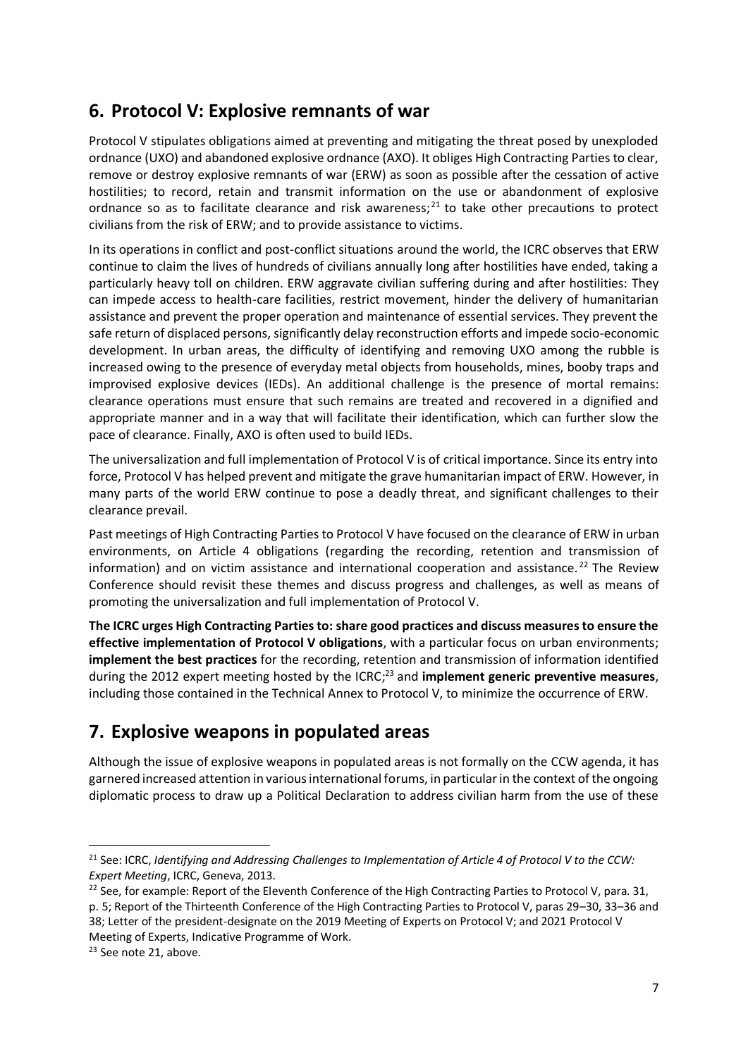## <span id="page-6-0"></span>**6. Protocol V: Explosive remnants of war**

Protocol V stipulates obligations aimed at preventing and mitigating the threat posed by unexploded ordnance (UXO) and abandoned explosive ordnance (AXO). It obliges High Contracting Parties to clear, remove or destroy explosive remnants of war (ERW) as soon as possible after the cessation of active hostilities; to record, retain and transmit information on the use or abandonment of explosive ordnance so as to facilitate clearance and risk awareness;<sup>21</sup> to take other precautions to protect civilians from the risk of ERW; and to provide assistance to victims.

In its operations in conflict and post-conflict situations around the world, the ICRC observes that ERW continue to claim the lives of hundreds of civilians annually long after hostilities have ended, taking a particularly heavy toll on children. ERW aggravate civilian suffering during and after hostilities: They can impede access to health-care facilities, restrict movement, hinder the delivery of humanitarian assistance and prevent the proper operation and maintenance of essential services. They prevent the safe return of displaced persons, significantly delay reconstruction efforts and impede socio-economic development. In urban areas, the difficulty of identifying and removing UXO among the rubble is increased owing to the presence of everyday metal objects from households, mines, booby traps and improvised explosive devices (IEDs). An additional challenge is the presence of mortal remains: clearance operations must ensure that such remains are treated and recovered in a dignified and appropriate manner and in a way that will facilitate their identification, which can further slow the pace of clearance. Finally, AXO is often used to build IEDs.

The universalization and full implementation of Protocol V is of critical importance. Since its entry into force, Protocol V has helped prevent and mitigate the grave humanitarian impact of ERW. However, in many parts of the world ERW continue to pose a deadly threat, and significant challenges to their clearance prevail.

Past meetings of High Contracting Parties to Protocol V have focused on the clearance of ERW in urban environments, on Article 4 obligations (regarding the recording, retention and transmission of information) and on victim assistance and international cooperation and assistance.<sup>22</sup> The Review Conference should revisit these themes and discuss progress and challenges, as well as means of promoting the universalization and full implementation of Protocol V.

**The ICRC urges High Contracting Parties to: share good practices and discuss measures to ensure the effective implementation of Protocol V obligations**, with a particular focus on urban environments; **implement the best practices** for the recording, retention and transmission of information identified during the 2012 expert meeting hosted by the ICRC; <sup>23</sup> and **implement generic preventive measures**, including those contained in the Technical Annex to Protocol V, to minimize the occurrence of ERW.

# <span id="page-6-1"></span>**7. Explosive weapons in populated areas**

Although the issue of explosive weapons in populated areas is not formally on the CCW agenda, it has garnered increased attention in various international forums, in particular in the context of the ongoing diplomatic process to draw up a Political Declaration to address civilian harm from the use of these

<sup>21</sup> See: ICRC, *Identifying and Addressing Challenges to Implementation of Article 4 of Protocol V to the CCW: Expert Meeting*, ICRC, Geneva, 2013.

<sup>&</sup>lt;sup>22</sup> See, for example: Report of the Eleventh Conference of the High Contracting Parties to Protocol V, para. 31, p. 5; Report of the Thirteenth Conference of the High Contracting Parties to Protocol V, paras 29–30, 33–36 and 38; Letter of the president-designate on the 2019 Meeting of Experts on Protocol V; and 2021 Protocol V Meeting of Experts, Indicative Programme of Work.

<sup>&</sup>lt;sup>23</sup> See note 21, above.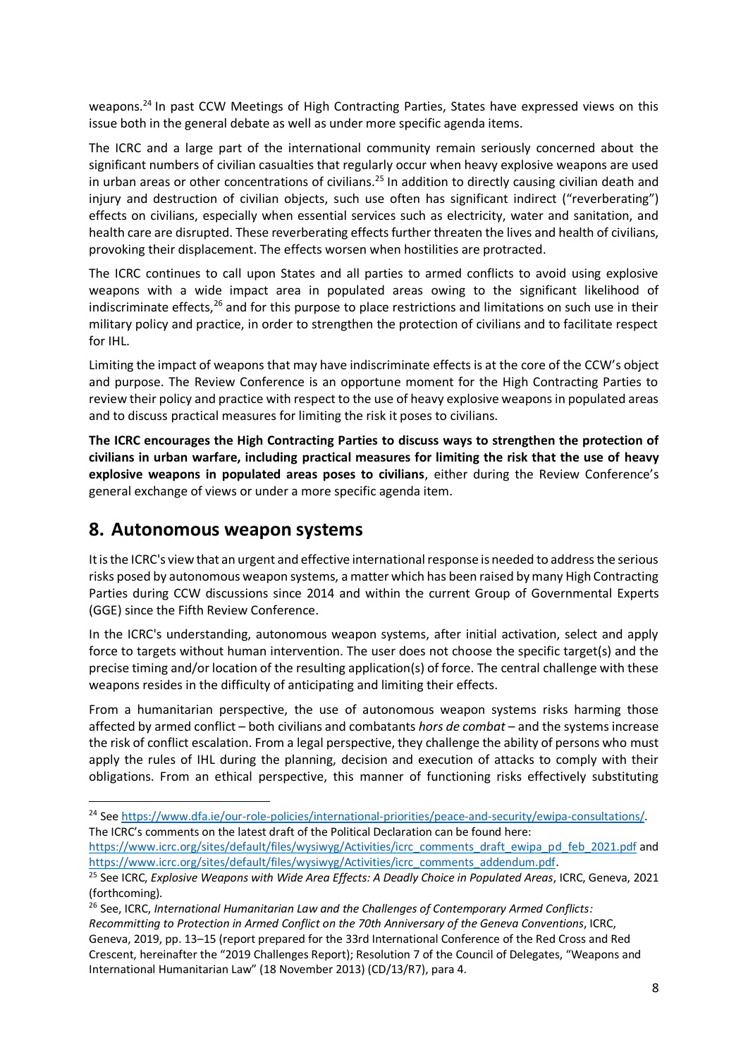weapons.<sup>24</sup> In past CCW Meetings of High Contracting Parties, States have expressed views on this issue both in the general debate as well as under more specific agenda items.

The ICRC and a large part of the international community remain seriously concerned about the significant numbers of civilian casualties that regularly occur when heavy explosive weapons are used in urban areas or other concentrations of civilians.<sup>25</sup> In addition to directly causing civilian death and injury and destruction of civilian objects, such use often has significant indirect ("reverberating") effects on civilians, especially when essential services such as electricity, water and sanitation, and health care are disrupted. These reverberating effects further threaten the lives and health of civilians, provoking their displacement. The effects worsen when hostilities are protracted.

The ICRC continues to call upon States and all parties to armed conflicts to avoid using explosive weapons with a wide impact area in populated areas owing to the significant likelihood of indiscriminate effects, $26$  and for this purpose to place restrictions and limitations on such use in their military policy and practice, in order to strengthen the protection of civilians and to facilitate respect for IHL.

Limiting the impact of weapons that may have indiscriminate effects is at the core of the CCW's object and purpose. The Review Conference is an opportune moment for the High Contracting Parties to review their policy and practice with respect to the use of heavy explosive weapons in populated areas and to discuss practical measures for limiting the risk it poses to civilians.

**The ICRC encourages the High Contracting Parties to discuss ways to strengthen the protection of civilians in urban warfare, including practical measures for limiting the risk that the use of heavy explosive weapons in populated areas poses to civilians**, either during the Review Conference's general exchange of views or under a more specific agenda item.

#### <span id="page-7-0"></span>**8. Autonomous weapon systems**

It is the ICRC's view that an urgent and effective international response is needed to address the serious risks posed by autonomous weapon systems, a matter which has been raised by many High Contracting Parties during CCW discussions since 2014 and within the current Group of Governmental Experts (GGE) since the Fifth Review Conference.

In the ICRC's understanding, autonomous weapon systems, after initial activation, select and apply force to targets without human intervention. The user does not choose the specific target(s) and the precise timing and/or location of the resulting application(s) of force. The central challenge with these weapons resides in the difficulty of anticipating and limiting their effects.

From a humanitarian perspective, the use of autonomous weapon systems risks harming those affected by armed conflict – both civilians and combatants *hors de combat* – and the systems increase the risk of conflict escalation. From a legal perspective, they challenge the ability of persons who must apply the rules of IHL during the planning, decision and execution of attacks to comply with their obligations. From an ethical perspective, this manner of functioning risks effectively substituting

<sup>&</sup>lt;sup>24</sup> Se[e https://www.dfa.ie/our-role-policies/international-priorities/peace-and-security/ewipa-consultations/.](https://www.dfa.ie/our-role-policies/international-priorities/peace-and-security/ewipa-consultations/) The ICRC's comments on the latest draft of the Political Declaration can be found here:

[https://www.icrc.org/sites/default/files/wysiwyg/Activities/icrc\\_comments\\_draft\\_ewipa\\_pd\\_feb\\_2021.pdf](https://www.icrc.org/sites/default/files/wysiwyg/Activities/icrc_comments_draft_ewipa_pd_feb_2021.pdf) and [https://www.icrc.org/sites/default/files/wysiwyg/Activities/icrc\\_comments\\_addendum.pdf.](https://www.icrc.org/sites/default/files/wysiwyg/Activities/icrc_comments_addendum.pdf)

<sup>25</sup> See ICRC, *Explosive Weapons with Wide Area Effects: A Deadly Choice in Populated Areas*, ICRC, Geneva, 2021 (forthcoming)*.*

<sup>26</sup> See, ICRC, *International Humanitarian Law and the Challenges of Contemporary Armed Conflicts: Recommitting to Protection in Armed Conflict on the 70th Anniversary of the Geneva Conventions*, ICRC, Geneva, 2019, pp. 13–15 (report prepared for the 33rd International Conference of the Red Cross and Red Crescent, hereinafter the "2019 Challenges Report); Resolution 7 of the Council of Delegates, "Weapons and International Humanitarian Law" (18 November 2013) (CD/13/R7), para 4.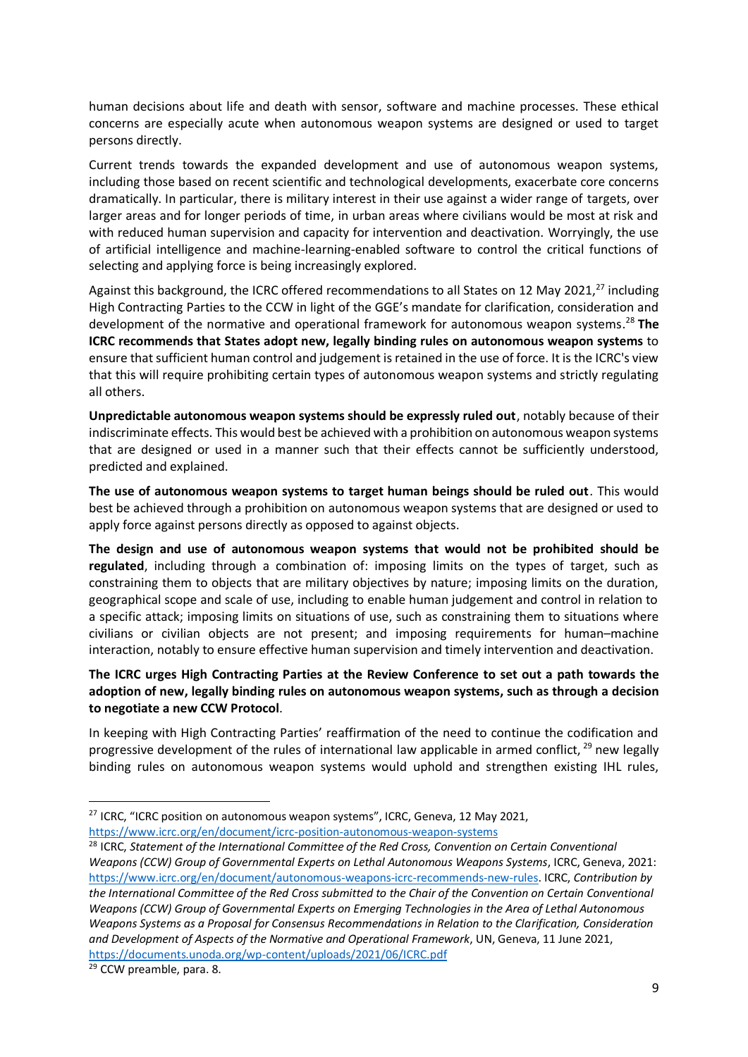human decisions about life and death with sensor, software and machine processes. These ethical concerns are especially acute when autonomous weapon systems are designed or used to target persons directly.

Current trends towards the expanded development and use of autonomous weapon systems, including those based on recent scientific and technological developments, exacerbate core concerns dramatically. In particular, there is military interest in their use against a wider range of targets, over larger areas and for longer periods of time, in urban areas where civilians would be most at risk and with reduced human supervision and capacity for intervention and deactivation. Worryingly, the use of artificial intelligence and machine-learning-enabled software to control the critical functions of selecting and applying force is being increasingly explored.

Against this background, the ICRC offered recommendations to all States on 12 May 2021,<sup>27</sup> including High Contracting Parties to the CCW in light of the GGE's mandate for clarification, consideration and development of the normative and operational framework for autonomous weapon systems. <sup>28</sup> **The ICRC recommends that States adopt new, legally binding rules on autonomous weapon systems** to ensure that sufficient human control and judgement is retained in the use of force. It is the ICRC's view that this will require prohibiting certain types of autonomous weapon systems and strictly regulating all others.

**Unpredictable autonomous weapon systems should be expressly ruled out**, notably because of their indiscriminate effects. This would best be achieved with a prohibition on autonomous weapon systems that are designed or used in a manner such that their effects cannot be sufficiently understood, predicted and explained.

**The use of autonomous weapon systems to target human beings should be ruled out**. This would best be achieved through a prohibition on autonomous weapon systems that are designed or used to apply force against persons directly as opposed to against objects.

**The design and use of autonomous weapon systems that would not be prohibited should be regulated**, including through a combination of: imposing limits on the types of target, such as constraining them to objects that are military objectives by nature; imposing limits on the duration, geographical scope and scale of use, including to enable human judgement and control in relation to a specific attack; imposing limits on situations of use, such as constraining them to situations where civilians or civilian objects are not present; and imposing requirements for human–machine interaction, notably to ensure effective human supervision and timely intervention and deactivation.

**The ICRC urges High Contracting Parties at the Review Conference to set out a path towards the adoption of new, legally binding rules on autonomous weapon systems, such as through a decision to negotiate a new CCW Protocol**.

In keeping with High Contracting Parties' reaffirmation of the need to continue the codification and progressive development of the rules of international law applicable in armed conflict,  $^{29}$  new legally binding rules on autonomous weapon systems would uphold and strengthen existing IHL rules,

<sup>&</sup>lt;sup>27</sup> ICRC, "ICRC position on autonomous weapon systems", ICRC, Geneva, 12 May 2021,

<https://www.icrc.org/en/document/icrc-position-autonomous-weapon-systems>

<sup>28</sup> ICRC, *Statement of the International Committee of the Red Cross, Convention on Certain Conventional Weapons (CCW) Group of Governmental Experts on Lethal Autonomous Weapons Systems*, ICRC, Geneva, 2021: [https://www.icrc.org/en/document/autonomous-weapons-icrc-recommends-new-rules.](https://www.icrc.org/en/document/autonomous-weapons-icrc-recommends-new-rules) ICRC, *Contribution by the International Committee of the Red Cross submitted to the Chair of the Convention on Certain Conventional Weapons (CCW) Group of Governmental Experts on Emerging Technologies in the Area of Lethal Autonomous Weapons Systems as a Proposal for Consensus Recommendations in Relation to the Clarification, Consideration and Development of Aspects of the Normative and Operational Framework*, UN, Geneva, 11 June 2021, <https://documents.unoda.org/wp-content/uploads/2021/06/ICRC.pdf>

<sup>&</sup>lt;sup>29</sup> CCW preamble, para. 8.